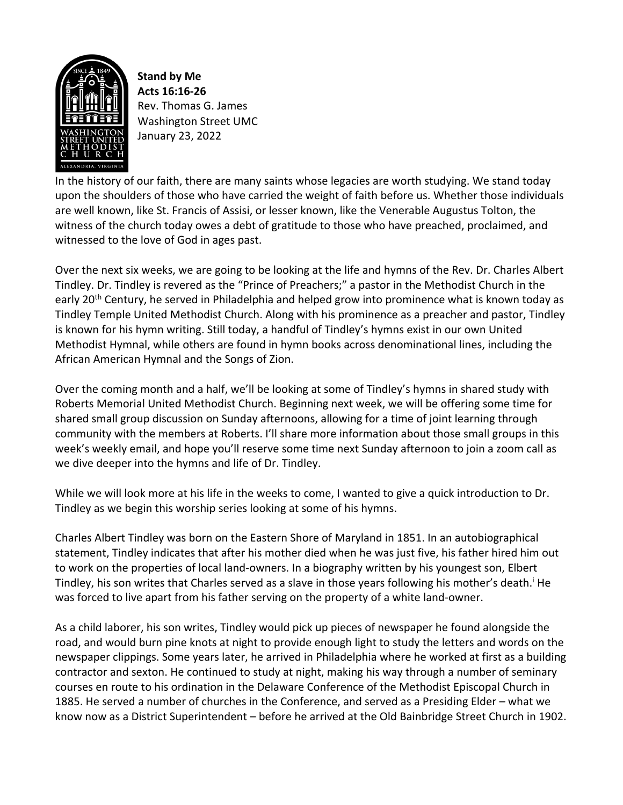

**Stand by Me Acts 16:16-26** Rev. Thomas G. James Washington Street UMC January 23, 2022

In the history of our faith, there are many saints whose legacies are worth studying. We stand today upon the shoulders of those who have carried the weight of faith before us. Whether those individuals are well known, like St. Francis of Assisi, or lesser known, like the Venerable Augustus Tolton, the witness of the church today owes a debt of gratitude to those who have preached, proclaimed, and witnessed to the love of God in ages past.

Over the next six weeks, we are going to be looking at the life and hymns of the Rev. Dr. Charles Albert Tindley. Dr. Tindley is revered as the "Prince of Preachers;" a pastor in the Methodist Church in the early 20<sup>th</sup> Century, he served in Philadelphia and helped grow into prominence what is known today as Tindley Temple United Methodist Church. Along with his prominence as a preacher and pastor, Tindley is known for his hymn writing. Still today, a handful of Tindley's hymns exist in our own United Methodist Hymnal, while others are found in hymn books across denominational lines, including the African American Hymnal and the Songs of Zion.

Over the coming month and a half, we'll be looking at some of Tindley's hymns in shared study with Roberts Memorial United Methodist Church. Beginning next week, we will be offering some time for shared small group discussion on Sunday afternoons, allowing for a time of joint learning through community with the members at Roberts. I'll share more information about those small groups in this week's weekly email, and hope you'll reserve some time next Sunday afternoon to join a zoom call as we dive deeper into the hymns and life of Dr. Tindley.

While we will look more at his life in the weeks to come, I wanted to give a quick introduction to Dr. Tindley as we begin this worship series looking at some of his hymns.

Charles Albert Tindley was born on the Eastern Shore of Maryland in 1851. In an autobiographical statement, Tindley indicates that after his mother died when he was just five, his father hired him out to work on the properties of local land-owners. In a biography written by his youngest son, Elbert Tindley, his son writes that Charles served as a slave in those years following his mother's death.<sup>i</sup> He was forced to live apart from his father serving on the property of a white land-owner.

As a child laborer, his son writes, Tindley would pick up pieces of newspaper he found alongside the road, and would burn pine knots at night to provide enough light to study the letters and words on the newspaper clippings. Some years later, he arrived in Philadelphia where he worked at first as a building contractor and sexton. He continued to study at night, making his way through a number of seminary courses en route to his ordination in the Delaware Conference of the Methodist Episcopal Church in 1885. He served a number of churches in the Conference, and served as a Presiding Elder – what we know now as a District Superintendent – before he arrived at the Old Bainbridge Street Church in 1902.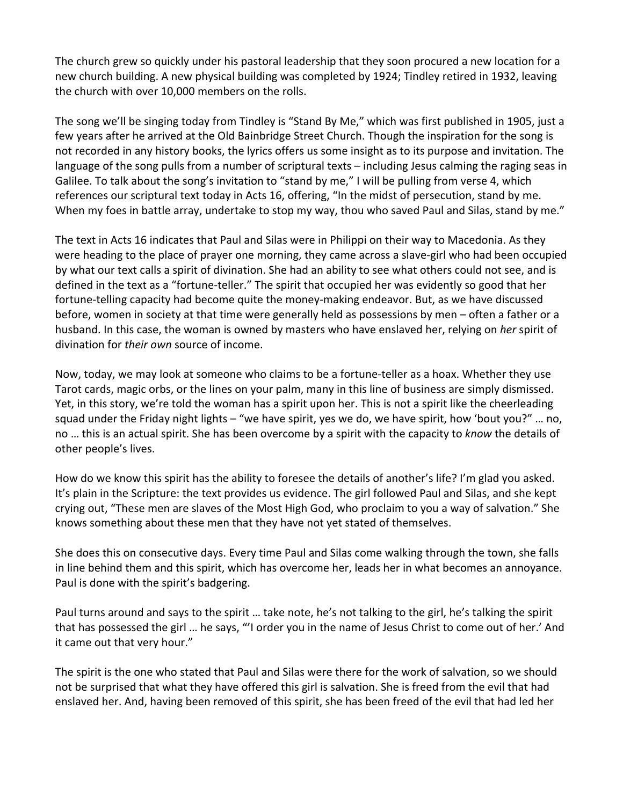The church grew so quickly under his pastoral leadership that they soon procured a new location for a new church building. A new physical building was completed by 1924; Tindley retired in 1932, leaving the church with over 10,000 members on the rolls.

The song we'll be singing today from Tindley is "Stand By Me," which was first published in 1905, just a few years after he arrived at the Old Bainbridge Street Church. Though the inspiration for the song is not recorded in any history books, the lyrics offers us some insight as to its purpose and invitation. The language of the song pulls from a number of scriptural texts – including Jesus calming the raging seas in Galilee. To talk about the song's invitation to "stand by me," I will be pulling from verse 4, which references our scriptural text today in Acts 16, offering, "In the midst of persecution, stand by me. When my foes in battle array, undertake to stop my way, thou who saved Paul and Silas, stand by me."

The text in Acts 16 indicates that Paul and Silas were in Philippi on their way to Macedonia. As they were heading to the place of prayer one morning, they came across a slave-girl who had been occupied by what our text calls a spirit of divination. She had an ability to see what others could not see, and is defined in the text as a "fortune-teller." The spirit that occupied her was evidently so good that her fortune-telling capacity had become quite the money-making endeavor. But, as we have discussed before, women in society at that time were generally held as possessions by men – often a father or a husband. In this case, the woman is owned by masters who have enslaved her, relying on *her* spirit of divination for *their own* source of income.

Now, today, we may look at someone who claims to be a fortune-teller as a hoax. Whether they use Tarot cards, magic orbs, or the lines on your palm, many in this line of business are simply dismissed. Yet, in this story, we're told the woman has a spirit upon her. This is not a spirit like the cheerleading squad under the Friday night lights – "we have spirit, yes we do, we have spirit, how 'bout you?" … no, no … this is an actual spirit. She has been overcome by a spirit with the capacity to *know* the details of other people's lives.

How do we know this spirit has the ability to foresee the details of another's life? I'm glad you asked. It's plain in the Scripture: the text provides us evidence. The girl followed Paul and Silas, and she kept crying out, "These men are slaves of the Most High God, who proclaim to you a way of salvation." She knows something about these men that they have not yet stated of themselves.

She does this on consecutive days. Every time Paul and Silas come walking through the town, she falls in line behind them and this spirit, which has overcome her, leads her in what becomes an annoyance. Paul is done with the spirit's badgering.

Paul turns around and says to the spirit … take note, he's not talking to the girl, he's talking the spirit that has possessed the girl … he says, "'I order you in the name of Jesus Christ to come out of her.' And it came out that very hour."

The spirit is the one who stated that Paul and Silas were there for the work of salvation, so we should not be surprised that what they have offered this girl is salvation. She is freed from the evil that had enslaved her. And, having been removed of this spirit, she has been freed of the evil that had led her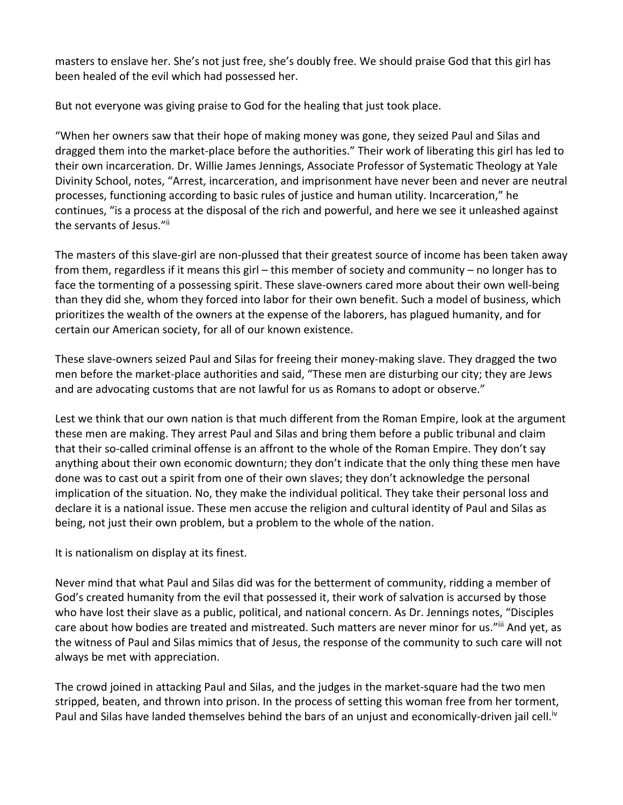masters to enslave her. She's not just free, she's doubly free. We should praise God that this girl has been healed of the evil which had possessed her.

But not everyone was giving praise to God for the healing that just took place.

"When her owners saw that their hope of making money was gone, they seized Paul and Silas and dragged them into the market-place before the authorities." Their work of liberating this girl has led to their own incarceration. Dr. Willie James Jennings, Associate Professor of Systematic Theology at Yale Divinity School, notes, "Arrest, incarceration, and imprisonment have never been and never are neutral processes, functioning according to basic rules of justice and human utility. Incarceration," he continues, "is a process at the disposal of the rich and powerful, and here we see it unleashed against the servants of Jesus."ii

The masters of this slave-girl are non-plussed that their greatest source of income has been taken away from them, regardless if it means this girl – this member of society and community – no longer has to face the tormenting of a possessing spirit. These slave-owners cared more about their own well-being than they did she, whom they forced into labor for their own benefit. Such a model of business, which prioritizes the wealth of the owners at the expense of the laborers, has plagued humanity, and for certain our American society, for all of our known existence.

These slave-owners seized Paul and Silas for freeing their money-making slave. They dragged the two men before the market-place authorities and said, "These men are disturbing our city; they are Jews and are advocating customs that are not lawful for us as Romans to adopt or observe."

Lest we think that our own nation is that much different from the Roman Empire, look at the argument these men are making. They arrest Paul and Silas and bring them before a public tribunal and claim that their so-called criminal offense is an affront to the whole of the Roman Empire. They don't say anything about their own economic downturn; they don't indicate that the only thing these men have done was to cast out a spirit from one of their own slaves; they don't acknowledge the personal implication of the situation. No, they make the individual political. They take their personal loss and declare it is a national issue. These men accuse the religion and cultural identity of Paul and Silas as being, not just their own problem, but a problem to the whole of the nation.

It is nationalism on display at its finest.

Never mind that what Paul and Silas did was for the betterment of community, ridding a member of God's created humanity from the evil that possessed it, their work of salvation is accursed by those who have lost their slave as a public, political, and national concern. As Dr. Jennings notes, "Disciples care about how bodies are treated and mistreated. Such matters are never minor for us."iii And yet, as the witness of Paul and Silas mimics that of Jesus, the response of the community to such care will not always be met with appreciation.

The crowd joined in attacking Paul and Silas, and the judges in the market-square had the two men stripped, beaten, and thrown into prison. In the process of setting this woman free from her torment, Paul and Silas have landed themselves behind the bars of an unjust and economically-driven jail cell.<sup>iv</sup>